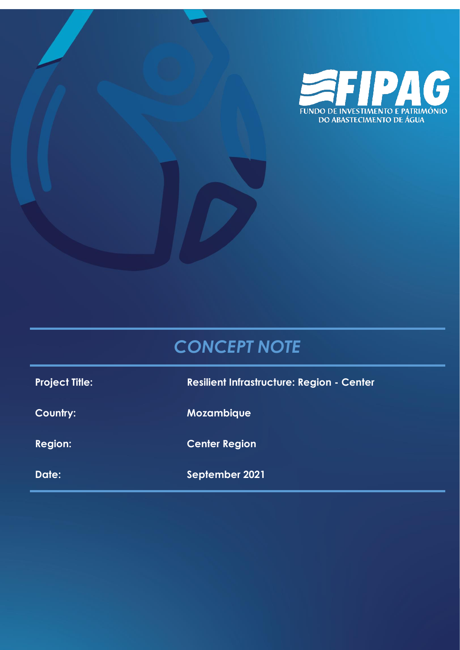

# *CONCEPT NOTE*

| <b>Project Title:</b> | <b>Resilient Infrastructure: Region - Center</b> |
|-----------------------|--------------------------------------------------|
| Country:              | <b>Mozambique</b>                                |
| <b>Region:</b>        | <b>Center Region</b>                             |
| Date:                 | September 2021                                   |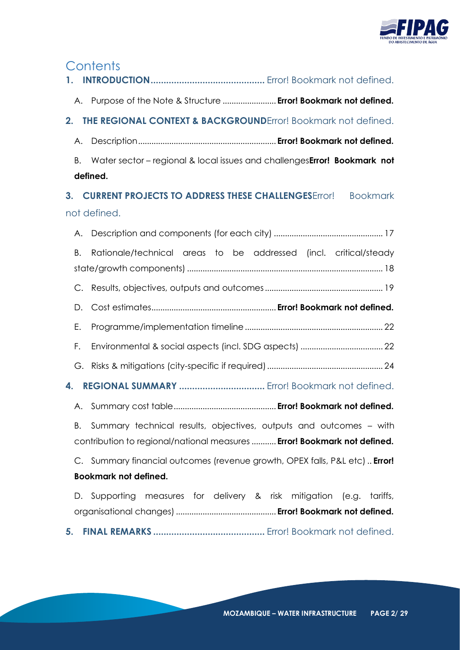

# **Contents**

| 1. |                                                                                   |
|----|-----------------------------------------------------------------------------------|
|    | A. Purpose of the Note & Structure  Error! Bookmark not defined.                  |
| 2. | <b>THE REGIONAL CONTEXT &amp; BACKGROUNDError! Bookmark not defined.</b>          |
| Α. |                                                                                   |
| Β. | Water sector - regional & local issues and challengesError! Bookmark not          |
|    | defined.                                                                          |
| 3. | <b>CURRENT PROJECTS TO ADDRESS THESE CHALLENGES</b> Error! Bookmark               |
|    | not defined.                                                                      |
| Α. |                                                                                   |
| Β. | Rationale/technical areas to be addressed (incl. critical/steady                  |
|    |                                                                                   |
| C. |                                                                                   |
| D. |                                                                                   |
| Е. |                                                                                   |
| F. |                                                                                   |
| G. |                                                                                   |
| 4. |                                                                                   |
| A. |                                                                                   |
| В. | Summary technical results, objectives, outputs and outcomes – with                |
|    | contribution to regional/national measures  Error! Bookmark not defined.          |
|    | C. Summary financial outcomes (revenue growth, OPEX falls, P&L etc) <b>Error!</b> |
|    | <b>Bookmark not defined.</b>                                                      |
|    | D. Supporting measures for delivery & risk mitigation<br>(e.g.<br>tariffs,        |
|    |                                                                                   |
| 5. |                                                                                   |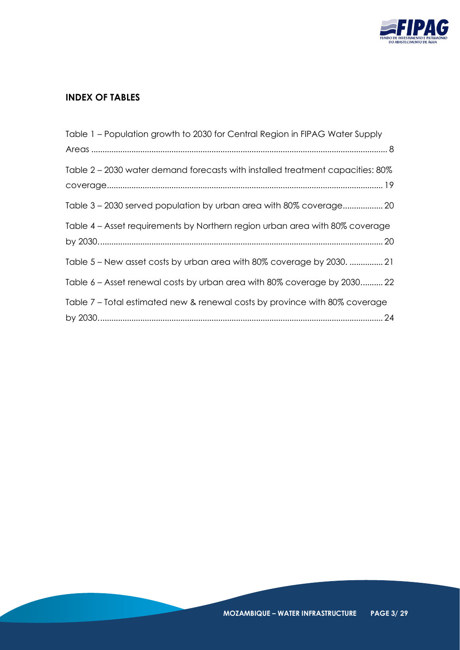

# **INDEX OF TABLES**

| Table 1 – Population growth to 2030 for Central Region in FIPAG Water Supply   |
|--------------------------------------------------------------------------------|
|                                                                                |
| Table 2 – 2030 water demand forecasts with installed treatment capacities: 80% |
| Table 3 – 2030 served population by urban area with 80% coverage 20            |
| Table 4 – Asset requirements by Northern region urban area with 80% coverage   |
| Table 5 – New asset costs by urban area with 80% coverage by 2030.  21         |
| Table 6 – Asset renewal costs by urban area with 80% coverage by 2030 22       |
| Table 7 – Total estimated new & renewal costs by province with 80% coverage    |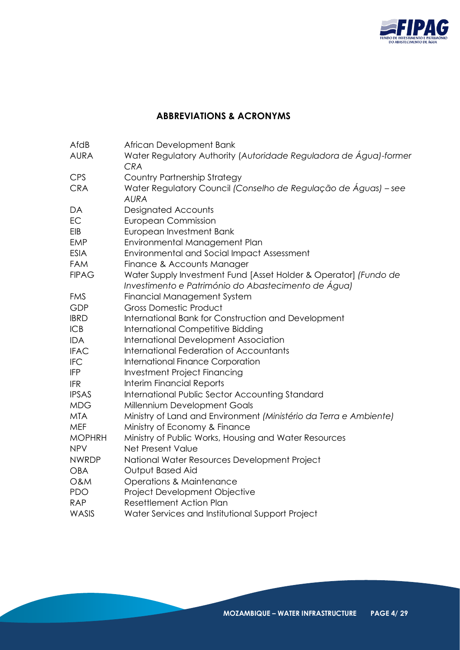

# **ABBREVIATIONS & ACRONYMS**

| AfdB           | African Development Bank                                                                                                |
|----------------|-------------------------------------------------------------------------------------------------------------------------|
| <b>AURA</b>    | Water Regulatory Authority (Autoridade Reguladora de Água)-former<br><b>CRA</b>                                         |
| <b>CPS</b>     | <b>Country Partnership Strategy</b>                                                                                     |
| <b>CRA</b>     | Water Regulatory Council (Conselho de Regulação de Águas) – see<br><b>AURA</b>                                          |
| DA             | <b>Designated Accounts</b>                                                                                              |
| EC             | <b>European Commission</b>                                                                                              |
| EIB            | European Investment Bank                                                                                                |
| <b>EMP</b>     | Environmental Management Plan                                                                                           |
| <b>ESIA</b>    | <b>Environmental and Social Impact Assessment</b>                                                                       |
| <b>FAM</b>     | Finance & Accounts Manager                                                                                              |
| <b>FIPAG</b>   | Water Supply Investment Fund [Asset Holder & Operator] (Fundo de<br>Investimento e Património do Abastecimento de Água) |
| <b>FMS</b>     | <b>Financial Management System</b>                                                                                      |
| <b>GDP</b>     | <b>Gross Domestic Product</b>                                                                                           |
| <b>IBRD</b>    | International Bank for Construction and Development                                                                     |
| <b>ICB</b>     | <b>International Competitive Bidding</b>                                                                                |
| <b>IDA</b>     | International Development Association                                                                                   |
| <b>IFAC</b>    | International Federation of Accountants                                                                                 |
| <b>IFC</b>     | International Finance Corporation                                                                                       |
| <b>IFP</b>     | <b>Investment Project Financing</b>                                                                                     |
| <b>IFR</b>     | <b>Interim Financial Reports</b>                                                                                        |
| <b>IPSAS</b>   | International Public Sector Accounting Standard                                                                         |
| <b>MDG</b>     | Millennium Development Goals                                                                                            |
| <b>MTA</b>     | Ministry of Land and Environment (Ministério da Terra e Ambiente)                                                       |
| MEF            | Ministry of Economy & Finance                                                                                           |
| <b>MOPHRH</b>  | Ministry of Public Works, Housing and Water Resources                                                                   |
| <b>NPV</b>     | Net Present Value                                                                                                       |
| <b>NWRDP</b>   | National Water Resources Development Project                                                                            |
| <b>OBA</b>     | Output Based Aid                                                                                                        |
| <b>O&amp;M</b> | <b>Operations &amp; Maintenance</b>                                                                                     |
| <b>PDO</b>     | Project Development Objective                                                                                           |
| <b>RAP</b>     | <b>Resettlement Action Plan</b>                                                                                         |
| WASIS          | Water Services and Institutional Support Project                                                                        |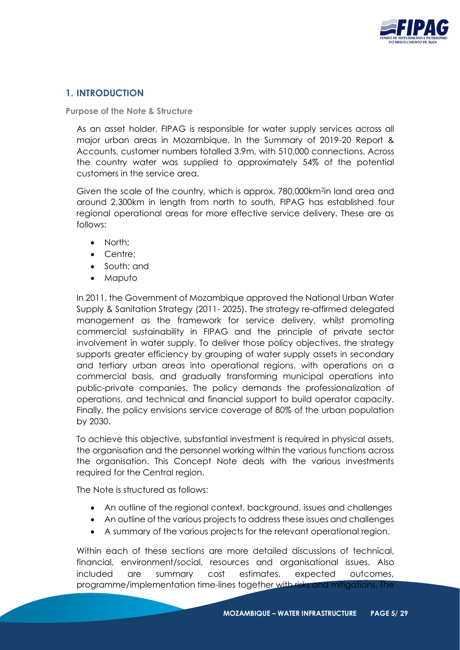

# **1. INTRODUCTION**

**Purpose of the Note & Structure**

As an asset holder, FIPAG is responsible for water supply services across all major urban areas in Mozambique. In the Summary of 2019-20 Report & Accounts, customer numbers totalled 3.9m, with 510,000 connections. Across the country water was supplied to approximately 54% of the potential customers in the service area.

Given the scale of the country, which is approx. 780,000km<sup>2</sup>in land area and around 2,300km in length from north to south, FIPAG has established four regional operational areas for more effective service delivery. These are as follows:

- North;
- Centre;
- South; and
- Maputo

In 2011, the Government of Mozambique approved the National Urban Water Supply & Sanitation Strategy (2011- 2025). The strategy re-affirmed delegated management as the framework for service delivery, whilst promoting commercial sustainability in FIPAG and the principle of private sector involvement in water supply. To deliver those policy objectives, the strategy supports greater efficiency by grouping of water supply assets in secondary and tertiary urban areas into operational regions, with operations on a commercial basis, and gradually transforming municipal operations into public-private companies. The policy demands the professionalization of operations, and technical and financial support to build operator capacity. Finally, the policy envisions service coverage of 80% of the urban population by 2030.

To achieve this objective, substantial investment is required in physical assets, the organisation and the personnel working within the various functions across the organisation. This Concept Note deals with the various investments required for the Central region.

The Note is structured as follows:

- An outline of the regional context, background, issues and challenges
- An outline of the various projects to address these issues and challenges
- A summary of the various projects for the relevant operational region.

Within each of these sections are more detailed discussions of technical, financial, environment/social, resources and organisational issues. Also included are summary cost estimates, expected outcomes, programme/implementation time-lines together with risks and mitigations. The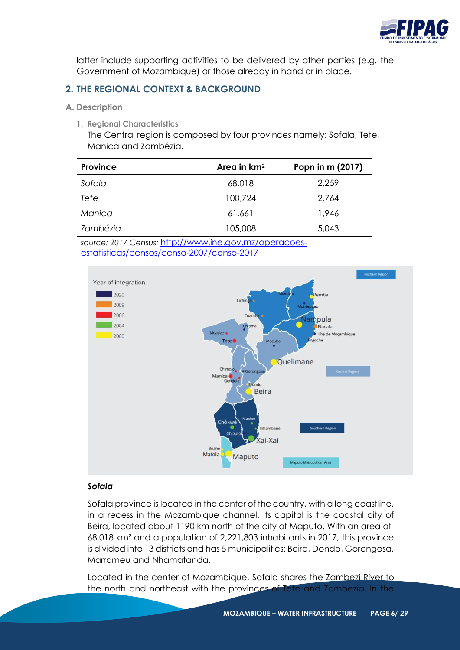

latter include supporting activities to be delivered by other parties (e.g. the Government of Mozambique) or those already in hand or in place.

# **2. THE REGIONAL CONTEXT & BACKGROUND**

- **A. Description**
	- **1. Regional Characteristics**

The Central region is composed by four provinces namely: Sofala, Tete, Manica and Zambézia.

| <b>Province</b> | Area in $km2$<br>Popn in m (2017) |       |  |  |  |  |
|-----------------|-----------------------------------|-------|--|--|--|--|
| Sofala          | 68,018                            | 2,259 |  |  |  |  |
| Tete            | 100,724                           | 2,764 |  |  |  |  |
| Manica          | 61,661                            | 1,946 |  |  |  |  |
| Zambézia        | 105,008                           | 5,043 |  |  |  |  |

*source: 2017 Census:* http://www.ine.gov.mz/operacoesestatisticas/censos/censo-2007/censo-2017



# *Sofala*

Sofala province is located in the center of the country, with a long coastline, in a recess in the Mozambique channel. Its capital is the coastal city of Beira, located about 1190 km north of the city of Maputo. With an area of 68,018 km² and a population of 2,221,803 inhabitants in 2017, this province is divided into 13 districts and has 5 municipalities: Beira, Dondo, Gorongosa, Marromeu and Nhamatanda.

Located in the center of Mozambique, Sofala shares the Zambezi River to the north and northeast with the provinces of Tete and Zambezia. In the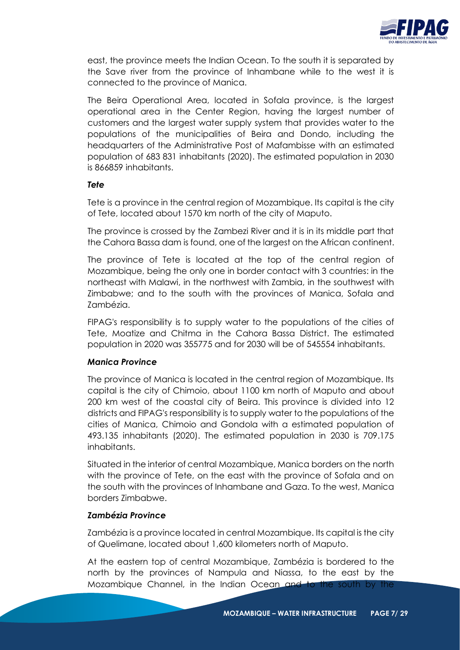

east, the province meets the Indian Ocean. To the south it is separated by the Save river from the province of Inhambane while to the west it is connected to the province of Manica.

The Beira Operational Area, located in Sofala province, is the largest operational area in the Center Region, having the largest number of customers and the largest water supply system that provides water to the populations of the municipalities of Beira and Dondo, including the headquarters of the Administrative Post of Mafambisse with an estimated population of 683 831 inhabitants (2020). The estimated population in 2030 is 866859 inhabitants.

#### *Tete*

Tete is a province in the central region of Mozambique. Its capital is the city of Tete, located about 1570 km north of the city of Maputo.

The province is crossed by the Zambezi River and it is in its middle part that the Cahora Bassa dam is found, one of the largest on the African continent.

The province of Tete is located at the top of the central region of Mozambique, being the only one in border contact with 3 countries: in the northeast with Malawi, in the northwest with Zambia, in the southwest with Zimbabwe; and to the south with the provinces of Manica, Sofala and Zambézia.

FIPAG's responsibility is to supply water to the populations of the cities of Tete, Moatize and Chitma in the Cahora Bassa District. The estimated population in 2020 was 355775 and for 2030 will be of 545554 inhabitants.

#### *Manica Province*

The province of Manica is located in the central region of Mozambique. Its capital is the city of Chimoio, about 1100 km north of Maputo and about 200 km west of the coastal city of Beira. This province is divided into 12 districts and FIPAG's responsibility is to supply water to the populations of the cities of Manica, Chimoio and Gondola with a estimated population of 493.135 inhabitants (2020). The estimated population in 2030 is 709.175 inhabitants.

Situated in the interior of central Mozambique, Manica borders on the north with the province of Tete, on the east with the province of Sofala and on the south with the provinces of Inhambane and Gaza. To the west, Manica borders Zimbabwe.

#### *Zambézia Province*

Zambézia is a province located in central Mozambique. Its capital is the city of Quelimane, located about 1,600 kilometers north of Maputo.

At the eastern top of central Mozambique, Zambézia is bordered to the north by the provinces of Nampula and Niassa, to the east by the Mozambique Channel, in the Indian Ocean and to the south by the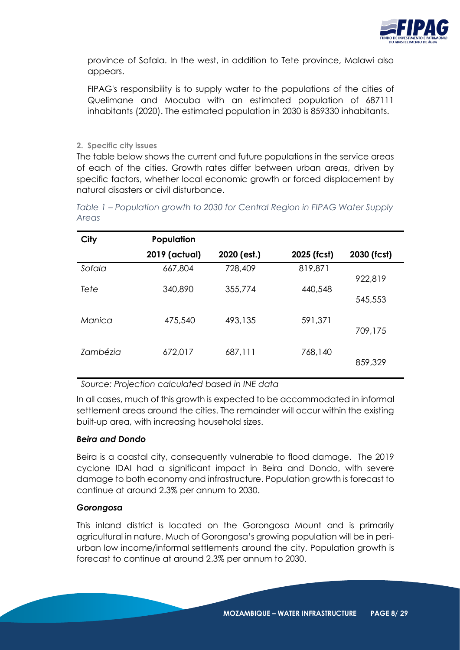

province of Sofala. In the west, in addition to Tete province, Malawi also appears.

FIPAG's responsibility is to supply water to the populations of the cities of Quelimane and Mocuba with an estimated population of 687111 inhabitants (2020). The estimated population in 2030 is 859330 inhabitants.

#### **2. Specific city issues**

The table below shows the current and future populations in the service areas of each of the cities. Growth rates differ between urban areas, driven by specific factors, whether local economic growth or forced displacement by natural disasters or civil disturbance.

| City     | Population    |             |             |             |
|----------|---------------|-------------|-------------|-------------|
|          | 2019 (actual) | 2020 (est.) | 2025 (fcst) | 2030 (fcst) |
| Sofala   | 667,804       | 728,409     | 819,871     |             |
| Tete     | 340,890       | 355,774     | 440,548     | 922,819     |
|          |               |             |             | 545,553     |
| Manica   | 475,540       | 493,135     | 591,371     |             |
|          |               |             |             | 709,175     |
| Zambézia | 672,017       | 687,111     | 768,140     |             |
|          |               |             |             | 859,329     |
|          |               |             |             |             |

<span id="page-7-0"></span>*Table 1 – Population growth to 2030 for Central Region in FIPAG Water Supply Areas*

*Source: Projection calculated based in INE data*

In all cases, much of this growth is expected to be accommodated in informal settlement areas around the cities. The remainder will occur within the existing built-up area, with increasing household sizes.

# *Beira and Dondo*

Beira is a coastal city, consequently vulnerable to flood damage. The 2019 cyclone IDAI had a significant impact in Beira and Dondo, with severe damage to both economy and infrastructure. Population growth is forecast to continue at around 2.3% per annum to 2030.

#### *Gorongosa*

This inland district is located on the Gorongosa Mount and is primarily agricultural in nature. Much of Gorongosa's growing population will be in periurban low income/informal settlements around the city. Population growth is forecast to continue at around 2.3% per annum to 2030.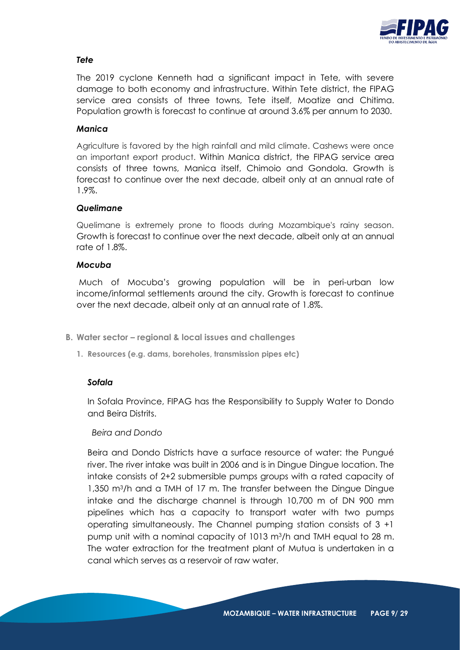

# *Tete*

The 2019 cyclone Kenneth had a significant impact in Tete, with severe damage to both economy and infrastructure. Within Tete district, the FIPAG service area consists of three towns, Tete itself, Moatize and Chitima. Population growth is forecast to continue at around 3.6% per annum to 2030.

#### *Manica*

Agriculture is favored by the high rainfall and mild climate. Cashews were once an important export product. Within Manica district, the FIPAG service area consists of three towns, Manica itself, Chimoio and Gondola. Growth is forecast to continue over the next decade, albeit only at an annual rate of 1.9%.

#### *Quelimane*

Quelimane is extremely prone to floods during Mozambique's rainy season. Growth is forecast to continue over the next decade, albeit only at an annual rate of 1.8%.

#### *Mocuba*

Much of Mocuba's growing population will be in peri-urban low income/informal settlements around the city. Growth is forecast to continue over the next decade, albeit only at an annual rate of 1.8%.

- **B. Water sector – regional & local issues and challenges**
	- **1. Resources (e.g. dams, boreholes, transmission pipes etc)**

#### *Sofala*

In Sofala Province, FIPAG has the Responsibility to Supply Water to Dondo and Beira Distrits.

#### *Beira and Dondo*

Beira and Dondo Districts have a surface resource of water: the Pungué river. The river intake was built in 2006 and is in Dingue Dingue location. The intake consists of 2+2 submersible pumps groups with a rated capacity of 1,350 m3/h and a TMH of 17 m. The transfer between the Dingue Dingue intake and the discharge channel is through 10,700 m of DN 900 mm pipelines which has a capacity to transport water with two pumps operating simultaneously. The Channel pumping station consists of 3 +1 pump unit with a nominal capacity of 1013 m3/h and TMH equal to 28 m. The water extraction for the treatment plant of Mutua is undertaken in a canal which serves as a reservoir of raw water.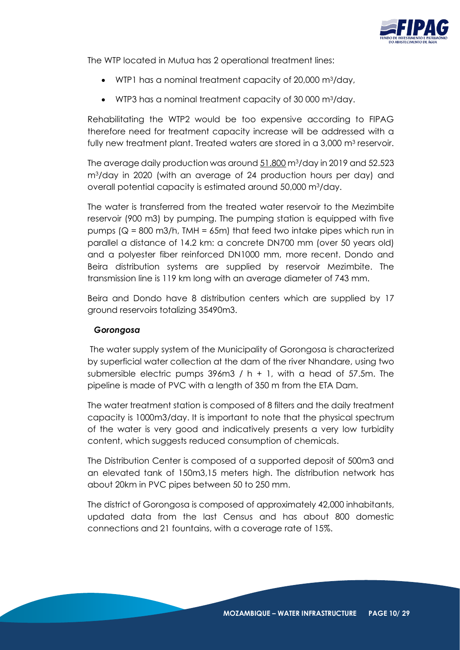

The WTP located in Mutua has 2 operational treatment lines:

- WTP1 has a nominal treatment capacity of 20,000 m3/day,
- WTP3 has a nominal treatment capacity of 30 000 m3/day.

Rehabilitating the WTP2 would be too expensive according to FIPAG therefore need for treatment capacity increase will be addressed with a fully new treatment plant. Treated waters are stored in a 3,000 m<sup>3</sup> reservoir.

The average daily production was around 51.800 m<sup>3</sup>/day in 2019 and 52.523 m3/day in 2020 (with an average of 24 production hours per day) and overall potential capacity is estimated around 50,000 m3/day.

The water is transferred from the treated water reservoir to the Mezimbite reservoir (900 m3) by pumping. The pumping station is equipped with five pumps ( $Q = 800$  m3/h, TMH = 65m) that feed two intake pipes which run in parallel a distance of 14.2 km: a concrete DN700 mm (over 50 years old) and a polyester fiber reinforced DN1000 mm, more recent. Dondo and Beira distribution systems are supplied by reservoir Mezimbite. The transmission line is 119 km long with an average diameter of 743 mm.

Beira and Dondo have 8 distribution centers which are supplied by 17 ground reservoirs totalizing 35490m3.

# *Gorongosa*

The water supply system of the Municipality of Gorongosa is characterized by superficial water collection at the dam of the river Nhandare, using two submersible electric pumps  $396m3 / h + 1$ , with a head of 57.5m. The pipeline is made of PVC with a length of 350 m from the ETA Dam.

The water treatment station is composed of 8 filters and the daily treatment capacity is 1000m3/day. It is important to note that the physical spectrum of the water is very good and indicatively presents a very low turbidity content, which suggests reduced consumption of chemicals.

The Distribution Center is composed of a supported deposit of 500m3 and an elevated tank of 150m3,15 meters high. The distribution network has about 20km in PVC pipes between 50 to 250 mm.

The district of Gorongosa is composed of approximately 42,000 inhabitants, updated data from the last Census and has about 800 domestic connections and 21 fountains, with a coverage rate of 15%.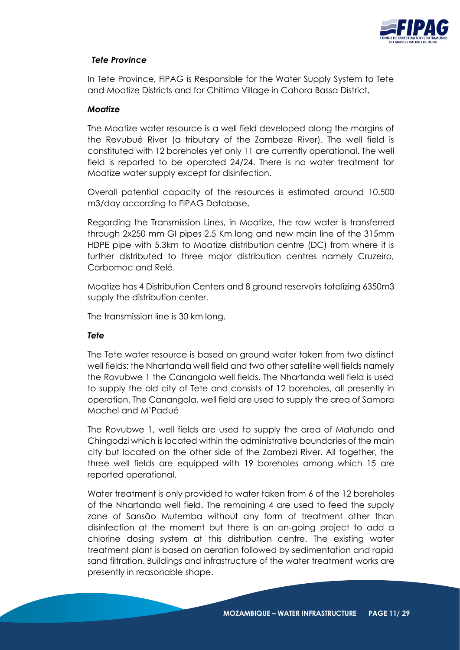

# *Tete Province*

In Tete Province, FIPAG is Responsible for the Water Supply System to Tete and Moatize Districts and for Chitima Village in Cahora Bassa District.

#### *Moatize*

The Moatize water resource is a well field developed along the margins of the Revubué River (a tributary of the Zambeze River). The well field is constituted with 12 boreholes yet only 11 are currently operational. The well field is reported to be operated 24/24. There is no water treatment for Moatize water supply except for disinfection.

Overall potential capacity of the resources is estimated around 10.500 m3/day according to FIPAG Database.

Regarding the Transmission Lines, in Moatize, the raw water is transferred through 2x250 mm GI pipes 2.5 Km long and new main line of the 315mm HDPE pipe with 5.3km to Moatize distribution centre (DC) from where it is further distributed to three major distribution centres namely Cruzeiro, Carbomoc and Relé.

Moatize has 4 Distribution Centers and 8 ground reservoirs totalizing 6350m3 supply the distribution center.

The transmission line is 30 km long.

#### *Tete*

The Tete water resource is based on ground water taken from two distinct well fields: the Nhartanda well field and two other satellite well fields namely the Rovubwe 1 the Canangola well fields. The Nhartanda well field is used to supply the old city of Tete and consists of 12 boreholes, all presently in operation. The Canangola, well field are used to supply the area of Samora Machel and M'Padué

The Rovubwe 1, well fields are used to supply the area of Matundo and Chingodzi which is located within the administrative boundaries of the main city but located on the other side of the Zambezi River. All together, the three well fields are equipped with 19 boreholes among which 15 are reported operational.

Water treatment is only provided to water taken from 6 of the 12 boreholes of the Nhartanda well field. The remaining 4 are used to feed the supply zone of Sansão Mutemba without any form of treatment other than disinfection at the moment but there is an on-going project to add a chlorine dosing system at this distribution centre. The existing water treatment plant is based on aeration followed by sedimentation and rapid sand filtration. Buildings and infrastructure of the water treatment works are presently in reasonable shape.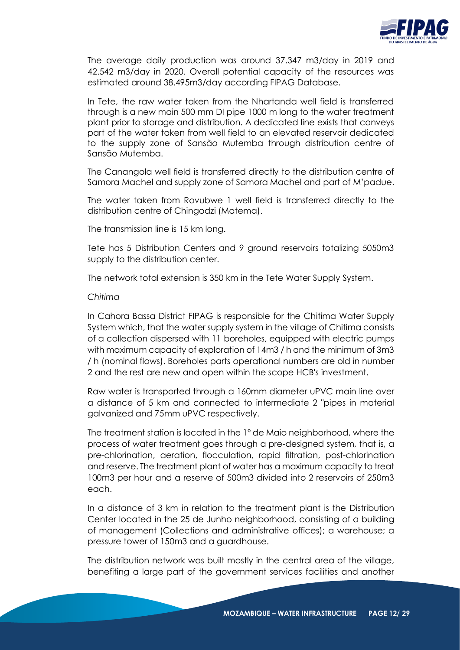

The average daily production was around 37.347 m3/day in 2019 and 42.542 m3/day in 2020. Overall potential capacity of the resources was estimated around 38.495m3/day according FIPAG Database.

In Tete, the raw water taken from the Nhartanda well field is transferred through is a new main 500 mm DI pipe 1000 m long to the water treatment plant prior to storage and distribution. A dedicated line exists that conveys part of the water taken from well field to an elevated reservoir dedicated to the supply zone of Sansão Mutemba through distribution centre of Sansão Mutemba.

The Canangola well field is transferred directly to the distribution centre of Samora Machel and supply zone of Samora Machel and part of M'padue.

The water taken from Rovubwe 1 well field is transferred directly to the distribution centre of Chingodzi (Matema).

The transmission line is 15 km long.

Tete has 5 Distribution Centers and 9 ground reservoirs totalizing 5050m3 supply to the distribution center.

The network total extension is 350 km in the Tete Water Supply System.

#### *Chitima*

In Cahora Bassa District FIPAG is responsible for the Chitima Water Supply System which, that the water supply system in the village of Chitima consists of a collection dispersed with 11 boreholes, equipped with electric pumps with maximum capacity of exploration of 14m3 / h and the minimum of 3m3 / h (nominal flows). Boreholes parts operational numbers are old in number 2 and the rest are new and open within the scope HCB's investment.

Raw water is transported through a 160mm diameter uPVC main line over a distance of 5 km and connected to intermediate 2 "pipes in material galvanized and 75mm uPVC respectively.

The treatment station is located in the 1º de Maio neighborhood, where the process of water treatment goes through a pre-designed system, that is, a pre-chlorination, aeration, flocculation, rapid filtration, post-chlorination and reserve. The treatment plant of water has a maximum capacity to treat 100m3 per hour and a reserve of 500m3 divided into 2 reservoirs of 250m3 each.

In a distance of 3 km in relation to the treatment plant is the Distribution Center located in the 25 de Junho neighborhood, consisting of a building of management (Collections and administrative offices); a warehouse; a pressure tower of 150m3 and a guardhouse.

The distribution network was built mostly in the central area of the village, benefiting a large part of the government services facilities and another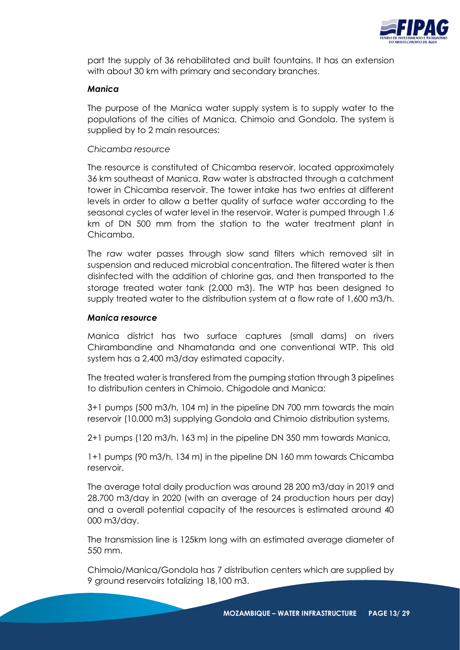

part the supply of 36 rehabilitated and built fountains. It has an extension with about 30 km with primary and secondary branches.

#### *Manica*

The purpose of the Manica water supply system is to supply water to the populations of the cities of Manica, Chimoio and Gondola. The system is supplied by to 2 main resources:

#### *Chicamba resource*

The resource is constituted of Chicamba reservoir, located approximately 36 km southeast of Manica. Raw water is abstracted through a catchment tower in Chicamba reservoir. The tower intake has two entries at different levels in order to allow a better quality of surface water according to the seasonal cycles of water level in the reservoir. Water is pumped through 1.6 km of DN 500 mm from the station to the water treatment plant in Chicamba.

The raw water passes through slow sand filters which removed silt in suspension and reduced microbial concentration. The filtered water is then disinfected with the addition of chlorine gas, and then transported to the storage treated water tank (2,000 m3). The WTP has been designed to supply treated water to the distribution system at a flow rate of 1,600 m3/h.

#### *Manica resource*

Manica district has two surface captures (small dams) on rivers Chirambandine and Nhamatanda and one conventional WTP. This old system has a 2,400 m3/day estimated capacity.

The treated water is transfered from the pumping station through 3 pipelines to distribution centers in Chimoio, Chigodole and Manica:

3+1 pumps (500 m3/h, 104 m) in the pipeline DN 700 mm towards the main reservoir (10,000 m3) supplying Gondola and Chimoio distribution systems,

2+1 pumps (120 m3/h, 163 m) in the pipeline DN 350 mm towards Manica,

1+1 pumps (90 m3/h, 134 m) in the pipeline DN 160 mm towards Chicamba reservoir.

The average total daily production was around 28 200 m3/day in 2019 and 28.700 m3/day in 2020 (with an average of 24 production hours per day) and a overall potential capacity of the resources is estimated around 40 000 m3/day.

The transmission line is 125km long with an estimated average diameter of 550 mm.

Chimoio/Manica/Gondola has 7 distribution centers which are supplied by 9 ground reservoirs totalizing 18,100 m3.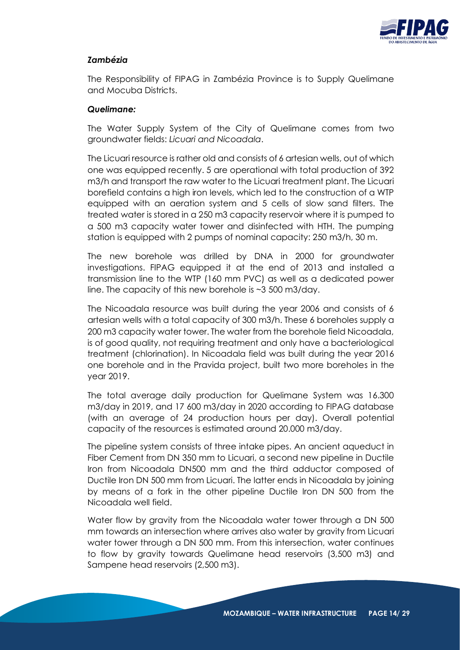

# *Zambézia*

The Responsibility of FIPAG in Zambézia Province is to Supply Quelimane and Mocuba Districts.

#### *Quelimane:*

The Water Supply System of the City of Quelimane comes from two groundwater fields: *Licuari and Nicoadala*.

The Licuari resource is rather old and consists of 6 artesian wells, out of which one was equipped recently. 5 are operational with total production of 392 m3/h and transport the raw water to the Licuari treatment plant. The Licuari borefield contains a high iron levels, which led to the construction of a WTP equipped with an aeration system and 5 cells of slow sand filters. The treated water is stored in a 250 m3 capacity reservoir where it is pumped to a 500 m3 capacity water tower and disinfected with HTH. The pumping station is equipped with 2 pumps of nominal capacity: 250 m3/h, 30 m.

The new borehole was drilled by DNA in 2000 for groundwater investigations. FIPAG equipped it at the end of 2013 and installed a transmission line to the WTP (160 mm PVC) as well as a dedicated power line. The capacity of this new borehole is ~3 500 m3/day.

The Nicoadala resource was built during the year 2006 and consists of 6 artesian wells with a total capacity of 300 m3/h. These 6 boreholes supply a 200 m3 capacity water tower. The water from the borehole field Nicoadala, is of good quality, not requiring treatment and only have a bacteriological treatment (chlorination). In Nicoadala field was built during the year 2016 one borehole and in the Pravida project, built two more boreholes in the year 2019.

The total average daily production for Quelimane System was 16.300 m3/day in 2019, and 17 600 m3/day in 2020 according to FIPAG database (with an average of 24 production hours per day). Overall potential capacity of the resources is estimated around 20.000 m3/day.

The pipeline system consists of three intake pipes. An ancient aqueduct in Fiber Cement from DN 350 mm to Licuari, a second new pipeline in Ductile Iron from Nicoadala DN500 mm and the third adductor composed of Ductile Iron DN 500 mm from Licuari. The latter ends in Nicoadala by joining by means of a fork in the other pipeline Ductile Iron DN 500 from the Nicoadala well field.

Water flow by gravity from the Nicoadala water tower through a DN 500 mm towards an intersection where arrives also water by gravity from Licuari water tower through a DN 500 mm. From this intersection, water continues to flow by gravity towards Quelimane head reservoirs (3,500 m3) and Sampene head reservoirs (2,500 m3).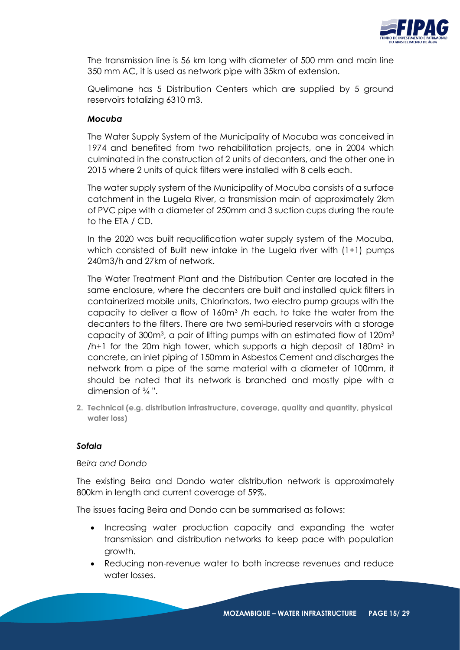

The transmission line is 56 km long with diameter of 500 mm and main line 350 mm AC, it is used as network pipe with 35km of extension.

Quelimane has 5 Distribution Centers which are supplied by 5 ground reservoirs totalizing 6310 m3.

#### *Mocuba*

The Water Supply System of the Municipality of Mocuba was conceived in 1974 and benefited from two rehabilitation projects, one in 2004 which culminated in the construction of 2 units of decanters, and the other one in 2015 where 2 units of quick filters were installed with 8 cells each.

The water supply system of the Municipality of Mocuba consists of a surface catchment in the Lugela River, a transmission main of approximately 2km of PVC pipe with a diameter of 250mm and 3 suction cups during the route to the ETA / CD.

In the 2020 was built requalification water supply system of the Mocuba, which consisted of Built new intake in the Lugela river with (1+1) pumps 240m3/h and 27km of network.

The Water Treatment Plant and the Distribution Center are located in the same enclosure, where the decanters are built and installed quick filters in containerized mobile units, Chlorinators, two electro pump groups with the capacity to deliver a flow of 160m<sup>3</sup> /h each, to take the water from the decanters to the filters. There are two semi-buried reservoirs with a storage capacity of 300m<sup>3</sup>, a pair of lifting pumps with an estimated flow of 120m<sup>3</sup>  $/h+1$  for the 20m high tower, which supports a high deposit of 180 $m<sup>3</sup>$  in concrete, an inlet piping of 150mm in Asbestos Cement and discharges the network from a pipe of the same material with a diameter of 100mm, it should be noted that its network is branched and mostly pipe with a dimension of ¾ ''.

**2. Technical (e.g. distribution infrastructure, coverage, quality and quantity, physical water loss)**

#### *Sofala*

#### *Beira and Dondo*

The existing Beira and Dondo water distribution network is approximately 800km in length and current coverage of 59%.

The issues facing Beira and Dondo can be summarised as follows:

- Increasing water production capacity and expanding the water transmission and distribution networks to keep pace with population growth.
- Reducing non-revenue water to both increase revenues and reduce water losses.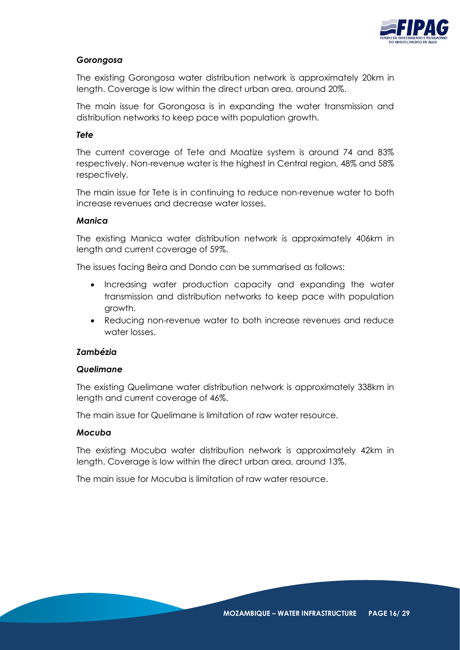

# *Gorongosa*

The existing Gorongosa water distribution network is approximately 20km in length. Coverage is low within the direct urban area, around 20%.

The main issue for Gorongosa is in expanding the water transmission and distribution networks to keep pace with population growth.

#### *Tete*

The current coverage of Tete and Moatize system is around 74 and 83% respectively. Non-revenue water is the highest in Central region, 48% and 58% respectively.

The main issue for Tete is in continuing to reduce non-revenue water to both increase revenues and decrease water losses.

#### *Manica*

The existing Manica water distribution network is approximately 406km in length and current coverage of 59%.

The issues facing Beira and Dondo can be summarised as follows:

- Increasing water production capacity and expanding the water transmission and distribution networks to keep pace with population growth.
- Reducing non-revenue water to both increase revenues and reduce water losses.

# *Zambézia*

#### *Quelimane*

The existing Quelimane water distribution network is approximately 338km in length and current coverage of 46%.

The main issue for Quelimane is limitation of raw water resource.

#### *Mocuba*

The existing Mocuba water distribution network is approximately 42km in length. Coverage is low within the direct urban area, around 13%.

The main issue for Mocuba is limitation of raw water resource.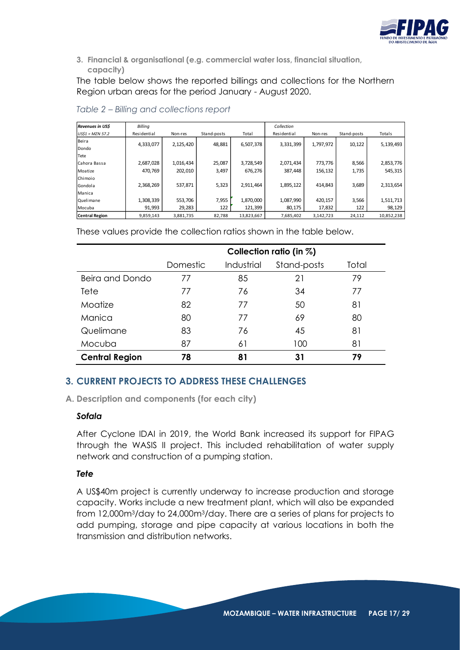

**3. Financial & organisational (e.g. commercial water loss, financial situation, capacity)**

The table below shows the reported billings and collections for the Northern Region urban areas for the period January - August 2020.

| Revenues in US\$      | Billing     |           |             |            | Collection  |           |             |            |
|-----------------------|-------------|-----------|-------------|------------|-------------|-----------|-------------|------------|
| $US$1 = MZN 57.2$     | Residential | Non-res   | Stand-posts | Total      | Residential | Non-res   | Stand-posts | Totals     |
| Beira                 | 4,333,077   | 2,125,420 | 48,881      | 6,507,378  | 3,331,399   | 1,797,972 | 10,122      |            |
| Dondo                 |             |           |             |            |             |           |             | 5,139,493  |
| Tete                  |             |           |             |            |             |           |             |            |
| Cahora Bassa          | 2,687,028   | 1,016,434 | 25,087      | 3,728,549  | 2,071,434   | 773,776   | 8,566       | 2,853,776  |
| Moatize               | 470,769     | 202,010   | 3,497       | 676,276    | 387,448     | 156,132   | 1,735       | 545,315    |
| Chimoio               |             |           |             |            |             |           |             |            |
| Gondola               | 2,368,269   | 537,871   | 5,323       | 2,911,464  | 1,895,122   | 414,843   | 3,689       | 2,313,654  |
| Manica                |             |           |             |            |             |           |             |            |
| Quelimane             | 1,308,339   | 553,706   | 7,955       | 1,870,000  | 1,087,990   | 420,157   | 3,566       | 1,511,713  |
| Mocuba                | 91,993      | 29,283    | 122         | 121,399    | 80,175      | 17,832    | 122         | 98,129     |
| <b>Central Region</b> | 9,859,143   | 3,881,735 | 82,788      | 13,823,667 | 7.685.402   | 3.142.723 | 24,112      | 10,852,238 |

*Table 2 – Billing and collections report*

These values provide the collection ratios shown in the table below.

|                       | Collection ratio (in $\%$ ) |            |             |       |  |  |  |  |  |
|-----------------------|-----------------------------|------------|-------------|-------|--|--|--|--|--|
|                       | Domestic                    | Industrial | Stand-posts | Total |  |  |  |  |  |
| Beira and Dondo       | 77                          | 85         | 21          | 79    |  |  |  |  |  |
| Tete                  | 77                          | 76         | 34          | 77    |  |  |  |  |  |
| Moatize               | 82                          | 77         | 50          | 81    |  |  |  |  |  |
| Manica                | 80                          | 77         | 69          | 80    |  |  |  |  |  |
| Quelimane             | 83                          | 76         | 45          | 81    |  |  |  |  |  |
| Mocuba                | 87                          | 61         | 100         | 81    |  |  |  |  |  |
| <b>Central Region</b> | 78                          | 81         | 31          | 79    |  |  |  |  |  |

# **3. CURRENT PROJECTS TO ADDRESS THESE CHALLENGES**

<span id="page-16-0"></span>**A. Description and components (for each city)**

#### *Sofala*

After Cyclone IDAI in 2019, the World Bank increased its support for FIPAG through the WASIS II project. This included rehabilitation of water supply network and construction of a pumping station.

# *Tete*

A US\$40m project is currently underway to increase production and storage capacity. Works include a new treatment plant, which will also be expanded from 12,000m3/day to 24,000m3/day. There are a series of plans for projects to add pumping, storage and pipe capacity at various locations in both the transmission and distribution networks.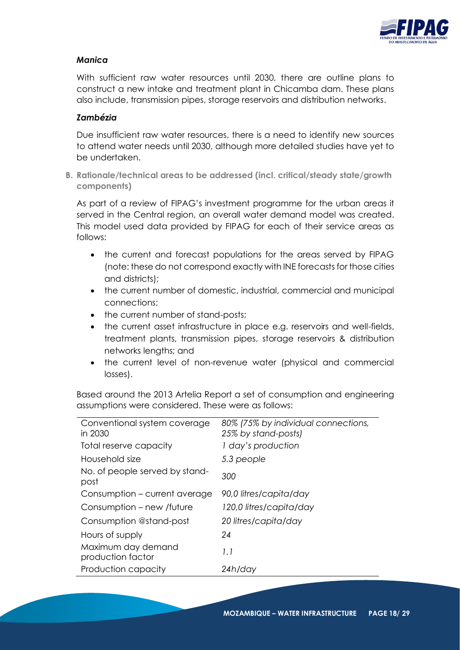

# *Manica*

With sufficient raw water resources until 2030, there are outline plans to construct a new intake and treatment plant in Chicamba dam. These plans also include, transmission pipes, storage reservoirs and distribution networks.

#### *Zambézia*

Due insufficient raw water resources, there is a need to identify new sources to attend water needs until 2030, although more detailed studies have yet to be undertaken.

<span id="page-17-0"></span>**B. Rationale/technical areas to be addressed (incl. critical/steady state/growth components)**

As part of a review of FIPAG's investment programme for the urban areas it served in the Central region, an overall water demand model was created. This model used data provided by FIPAG for each of their service areas as follows:

- the current and forecast populations for the areas served by FIPAG (note: these do not correspond exactly with INE forecasts for those cities and districts);
- the current number of domestic, industrial, commercial and municipal connections;
- the current number of stand-posts;
- the current asset infrastructure in place e.g. reservoirs and well-fields, treatment plants, transmission pipes, storage reservoirs & distribution networks lengths; and
- the current level of non-revenue water (physical and commercial losses).

Based around the 2013 Artelia Report a set of consumption and engineering assumptions were considered. These were as follows:

| Conventional system coverage            | 80% (75% by individual connections, |
|-----------------------------------------|-------------------------------------|
| in 2030                                 | 25% by stand-posts)                 |
| Total reserve capacity                  | 1 day's production                  |
| Household size                          | 5.3 people                          |
| No. of people served by stand-<br>post  | 300                                 |
| Consumption – current average           | 90,0 litres/capita/day              |
| Consumption – new /future               | 120,0 litres/capita/day             |
| Consumption @stand-post                 | 20 litres/capita/day                |
| Hours of supply                         | 24                                  |
| Maximum day demand<br>production factor | 1.1                                 |
| Production capacity                     | 24h/day                             |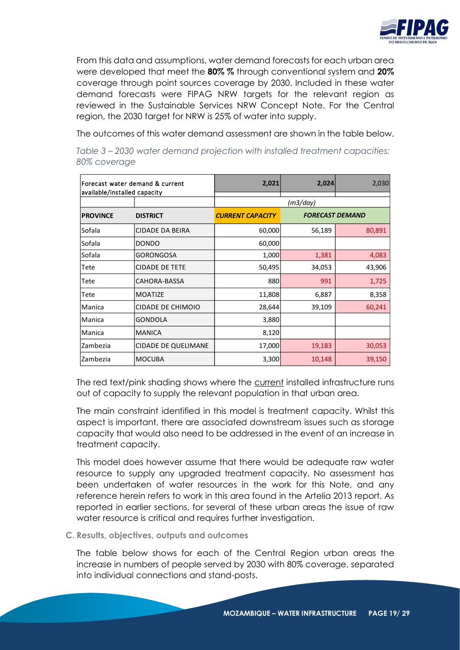<span id="page-18-1"></span>

From this data and assumptions, water demand forecasts for each urban area were developed that meet the **80% %** through conventional system and **20%** coverage through point sources coverage by 2030. Included in these water demand forecasts were FIPAG NRW targets for the relevant region as reviewed in the Sustainable Services NRW Concept Note. For the Central region, the 2030 target for NRW is 25% of water into supply.

The outcomes of this water demand assessment are shown in the table below.

| Forecast water demand & current<br>available/installed capacity |                            | 2,021                   | 2,024                  | 2,030  |
|-----------------------------------------------------------------|----------------------------|-------------------------|------------------------|--------|
|                                                                 |                            |                         | (m3/day)               |        |
| <b>PROVINCE</b>                                                 | <b>DISTRICT</b>            | <b>CURRENT CAPACITY</b> | <b>FORECAST DEMAND</b> |        |
| Sofala                                                          | <b>CIDADE DA BEIRA</b>     | 60,000                  | 56,189                 | 80,891 |
| Sofala                                                          | <b>DONDO</b>               | 60,000                  |                        |        |
| Sofala                                                          | <b>GORONGOSA</b>           | 1,000                   | 1,381                  | 4,083  |
| Tete                                                            | <b>CIDADE DE TETE</b>      | 50,495                  | 34,053                 | 43,906 |
| Tete                                                            | CAHORA-BASSA               | 880                     | 991                    | 1,725  |
| Tete                                                            | <b>MOATIZE</b>             | 11,808                  | 6,887                  | 8,358  |
| Manica                                                          | <b>CIDADE DE CHIMOIO</b>   | 28,644                  | 39,109                 | 60,241 |
| Manica                                                          | GONDOLA                    | 3,880                   |                        |        |
| Manica                                                          | <b>MANICA</b>              | 8,120                   |                        |        |
| Zambezia                                                        | <b>CIDADE DE QUELIMANE</b> | 17,000                  | 19,183                 | 30,053 |
| Zambezia                                                        | <b>MOCUBA</b>              | 3,300                   | 10,148                 | 39,150 |

*Table 3 – 2030 water demand projection with installed treatment capacities: 80% coverage*

The red text/pink shading shows where the current installed infrastructure runs out of capacity to supply the relevant population in that urban area.

The main constraint identified in this model is treatment capacity. Whilst this aspect is important, there are associated downstream issues such as storage capacity that would also need to be addressed in the event of an increase in treatment capacity.

This model does however assume that there would be adequate raw water resource to supply any upgraded treatment capacity. No assessment has been undertaken of water resources in the work for this Note, and any reference herein refers to work in this area found in the Artelia 2013 report. As reported in earlier sections, for several of these urban areas the issue of raw water resource is critical and requires further investigation.

<span id="page-18-0"></span>**C. Results, objectives, outputs and outcomes**

The table below shows for each of the Central Region urban areas the increase in numbers of people served by 2030 with 80% coverage, separated into individual connections and stand-posts.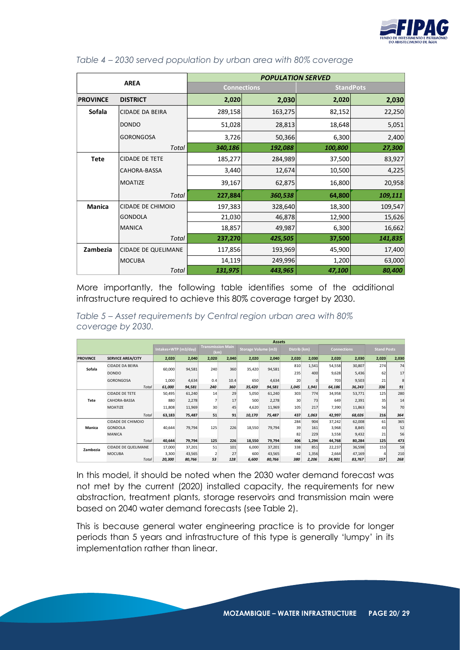

|                 |                            | <b>POPULATION SERVED</b> |         |                  |         |  |  |  |  |
|-----------------|----------------------------|--------------------------|---------|------------------|---------|--|--|--|--|
|                 | <b>AREA</b>                | <b>Connections</b>       |         | <b>StandPots</b> |         |  |  |  |  |
| <b>PROVINCE</b> | <b>DISTRICT</b>            | 2,020                    | 2,030   | 2,020            | 2,030   |  |  |  |  |
| Sofala          | <b>CIDADE DA BEIRA</b>     | 289,158                  | 163,275 | 82,152           | 22,250  |  |  |  |  |
|                 | <b>DONDO</b>               | 51,028                   | 28,813  | 18,648           | 5,051   |  |  |  |  |
|                 | <b>GORONGOSA</b>           | 3,726                    | 50,366  | 6,300            | 2,400   |  |  |  |  |
|                 | Total                      | 340,186                  | 192,088 | 100,800          | 27,300  |  |  |  |  |
| <b>Tete</b>     | <b>CIDADE DE TETE</b>      | 185,277                  | 284,989 | 37,500           | 83,927  |  |  |  |  |
|                 | <b>CAHORA-BASSA</b>        | 3,440                    | 12,674  | 10,500           | 4,225   |  |  |  |  |
|                 | MOATIZE                    | 39,167                   | 62,875  | 16,800           | 20,958  |  |  |  |  |
|                 | Total                      | 227,884                  | 360,538 | 64,800           | 109,111 |  |  |  |  |
| <b>Manica</b>   | CIDADE DE CHIMOIO          | 197,383                  | 328,640 | 18,300           | 109,547 |  |  |  |  |
|                 | <b>GONDOLA</b>             | 21,030                   | 46,878  | 12,900           | 15,626  |  |  |  |  |
|                 | <b>MANICA</b>              | 18,857                   | 49,987  | 6,300            | 16,662  |  |  |  |  |
|                 | Total                      | 237,270                  | 425,505 | 37,500           | 141,835 |  |  |  |  |
| Zambezia        | <b>CIDADE DE QUELIMANE</b> | 117,856                  | 193,969 | 45,900           | 17,400  |  |  |  |  |
|                 | <b>MOCUBA</b>              | 14,119                   | 249,996 | 1,200            | 63,000  |  |  |  |  |
|                 | Total                      | 131,975                  | 443,965 | 47,100           | 80,400  |  |  |  |  |

#### <span id="page-19-0"></span>*Table 4 – 2030 served population by urban area with 80% coverage*

More importantly, the following table identifies some of the additional infrastructure required to achieve this 80% coverage target by 2030.

<span id="page-19-1"></span>*Table 5 – Asset requirements by Central region urban area with 80% coverage by 2030.*

|                 |                          |                      | <b>Assets</b> |                                  |       |                            |        |                 |          |        |                    |                    |       |
|-----------------|--------------------------|----------------------|---------------|----------------------------------|-------|----------------------------|--------|-----------------|----------|--------|--------------------|--------------------|-------|
|                 |                          | Intakes+WTP (m3/day) |               | <b>Transmission Main</b><br>(km) |       | <b>Storage Volume (m3)</b> |        | Distrib (km)    |          |        | <b>Connections</b> | <b>Stand Posts</b> |       |
| <b>PROVINCE</b> | <b>SERVICE AREA/CITY</b> | 2,020                | 2,040         | 2,020                            | 2,040 | 2.020                      | 2.040  | 2,020           | 2,030    | 2,020  | 2,030              | 2,020              | 2,030 |
| Sofala          | <b>CIDADE DA BEIRA</b>   | 60,000               | 94,581        | 240                              | 360   | 35,420                     | 94,581 | 810             | 1,541    | 54,558 | 30,807             | 274                | 74    |
|                 | <b>DONDO</b>             |                      |               |                                  |       |                            |        | 235             | 400      | 9,628  | 5,436              | 62                 | 17    |
|                 | <b>GORONGOSA</b>         | 1,000                | 4,634         | 0.4                              | 10.4  | 650                        | 4,634  | 20              | $\Omega$ | 703    | 9,503              | 21                 | 8     |
|                 | <b>Total</b>             | 61,000               | 94,581        | 240                              | 360   | 35,420                     | 94,581 | 1,045           | 1,941    | 64,186 | 36,243             | 336                | 91    |
|                 | <b>CIDADE DE TETE</b>    | 50,495               | 61,240        | 14                               | 29    | 5,050                      | 61,240 | 303             | 774      | 34,958 | 53,771             | 125                | 280   |
| Tete            | CAHORA-BASSA             | 880                  | 2,278         | 7                                | 17    | 500                        | 2,278  | 30 <sup>1</sup> | 73       | 649    | 2,391              | 35                 | 14    |
|                 | <b>MOATIZE</b>           | 11,808               | 11,969        | 30                               | 45    | 4,620                      | 11,969 | 105             | 217      | 7,390  | 11,863             | 56                 | 70    |
|                 | Total                    | 63,183               | 75,487        | 51                               | 91    | 10,170                     | 75,487 | 437             | 1,063    | 42,997 | 68,026             | 216                | 364   |
|                 | CIDADE DE CHIMOIO        |                      |               |                                  |       |                            |        | 284             | 904      | 37.242 | 62,008             | 61                 | 365   |
| Manica          | GONDOLA                  | 40,644               | 79,794        | 125                              | 226   | 18,550                     | 79,794 | 39              | 161      | 3,968  | 8,845              | 43                 | 52    |
|                 | <b>MANICA</b>            |                      |               |                                  |       |                            |        | 82              | 229      | 3,558  | 9,432              | 21                 | 56    |
|                 | <b>Total</b>             | 40.644               | 79,794        | 125                              | 226   | 18,550                     | 79,794 | 406             | 1,294    | 44,768 | 80,284             | 125                | 473   |
| Zambezia        | CIDADE DE QUELIMANE      | 17,000               | 37,201        | 51                               | 101   | 6,000                      | 37,201 | 338             | 851      | 22,237 | 36,598             | 153                | 58    |
|                 | <b>MOCUBA</b>            | 3,300                | 43,565        | $\overline{\phantom{a}}$         | 27    | 600                        | 43,565 | 42              | 1,356    | 2,664  | 47,169             |                    | 210   |
|                 | <b>Total</b>             | 20,300               | 80,766        | 53                               | 128   | 6,600                      | 80,766 | 380             | 2,206    | 24,901 | 83,767             | 157                | 268   |

In this model, it should be noted when the 2030 water demand forecast was not met by the current (2020) installed capacity, the requirements for new abstraction, treatment plants, storage reservoirs and transmission main were based on 2040 water demand forecasts (see Table 2).

This is because general water engineering practice is to provide for longer periods than 5 years and infrastructure of this type is generally 'lumpy' in its implementation rather than linear.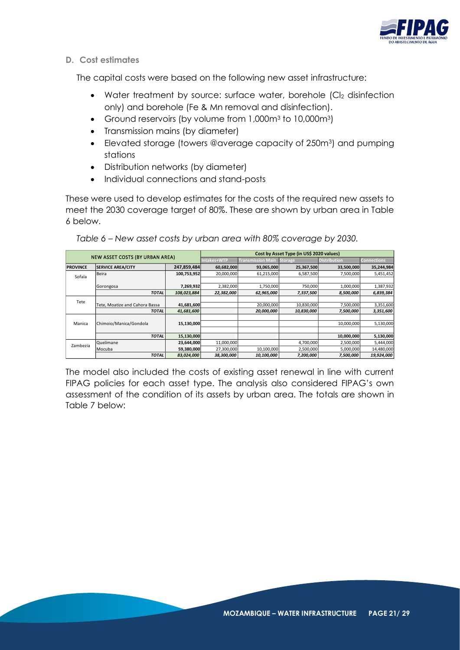

**D. Cost estimates**

The capital costs were based on the following new asset infrastructure:

- Water treatment by source: surface water, borehole (CI<sub>2</sub> disinfection only) and borehole (Fe & Mn removal and disinfection).
- Ground reservoirs (by volume from 1,000m<sup>3</sup> to 10,000m<sup>3</sup>)
- Transmission mains (by diameter)
- Elevated storage (towers @average capacity of 250m<sup>3</sup>) and pumping stations
- Distribution networks (by diameter)
- Individual connections and stand-posts

These were used to develop estimates for the costs of the required new assets to meet the 2030 coverage target of 80%. These are shown by urban area in Table 6 below.

|                 |                                        |             | Cost by Asset Type (in US\$ 2020 values) |                          |                |                     |                    |  |  |  |
|-----------------|----------------------------------------|-------------|------------------------------------------|--------------------------|----------------|---------------------|--------------------|--|--|--|
|                 | <b>NEW ASSET COSTS (BY URBAN AREA)</b> |             | Intakes+WTP                              | <b>Transmission Main</b> | <b>Storage</b> | <b>Distribution</b> | <b>Connections</b> |  |  |  |
| <b>PROVINCE</b> | <b>SERVICE AREA/CITY</b>               | 247,859,484 | 60,682,000                               | 93,065,000               | 25,367,500     | 33,500,000          | 35,244,984         |  |  |  |
| Sofala          | <b>Beira</b>                           | 100,753,952 | 20,000,000                               | 61,215,000               | 6,587,500      | 7,500,000           | 5,451,452          |  |  |  |
|                 |                                        |             |                                          |                          |                |                     |                    |  |  |  |
|                 | Gorongosa                              | 7,269,932   | 2,382,000                                | 1,750,000                | 750,000        | 1,000,000           | 1,387,932          |  |  |  |
|                 | <b>TOTAL</b>                           | 108,023,884 | 22,382,000                               | 62.965.000               | 7,337,500      | 8,500,000           | 6,839,384          |  |  |  |
| Tete            |                                        |             |                                          |                          |                |                     |                    |  |  |  |
|                 | Tete. Moatize and Cahora Bassa         | 41,681,600  |                                          | 20,000,000               | 10,830,000     | 7,500,000           | 3,351,600          |  |  |  |
|                 | <b>TOTAL</b>                           | 41,681,600  |                                          | 20,000,000               | 10,830,000     | 7,500,000           | 3,351,600          |  |  |  |
|                 |                                        |             |                                          |                          |                |                     |                    |  |  |  |
| Manica          | Chimoio/Manica/Gondola                 | 15,130,000  |                                          |                          |                | 10,000,000          | 5,130,000          |  |  |  |
|                 |                                        |             |                                          |                          |                |                     |                    |  |  |  |
|                 | <b>TOTAL</b>                           | 15,130,000  |                                          |                          |                | 10,000,000          | 5,130,000          |  |  |  |
| Zambezia        | <b>Ouelimane</b>                       | 23,644,000  | 11,000,000                               |                          | 4,700,000      | 2,500,000           | 5,444,000          |  |  |  |
|                 | <b>Mocuba</b>                          | 59,380,000  | 27,300,000                               | 10,100,000               | 2,500,000      | 5,000,000           | 14,480,000         |  |  |  |
|                 | <b>TOTAL</b>                           | 83,024,000  | 38,300,000                               | 10,100,000               | 7,200,000      | 7,500,000           | 19,924,000         |  |  |  |

<span id="page-20-0"></span>*Table 6 – New asset costs by urban area with 80% coverage by 2030.*

The model also included the costs of existing asset renewal in line with current FIPAG policies for each asset type. The analysis also considered FIPAG's own assessment of the condition of its assets by urban area. The totals are shown in Table 7 below: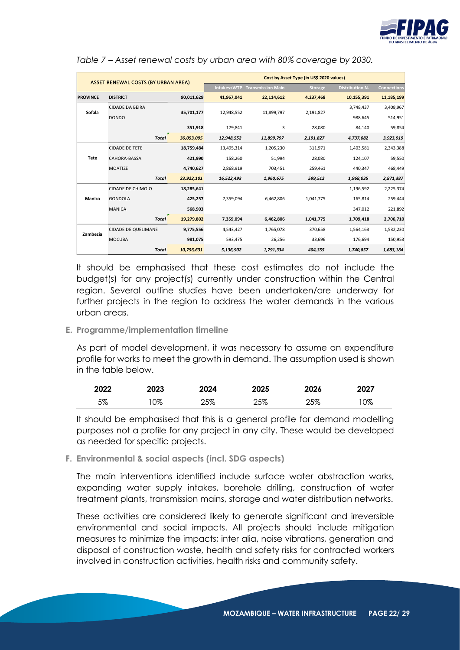

|                 | <b>ASSET RENEWAL COSTS (BY URBAN AREA)</b> |            | Cost by Asset Type (in US\$ 2020 values) |                          |           |                        |                    |  |  |  |
|-----------------|--------------------------------------------|------------|------------------------------------------|--------------------------|-----------|------------------------|--------------------|--|--|--|
|                 |                                            |            | Intakes+WTP                              | <b>Transmission Main</b> | Storage,  | <b>Distribution N.</b> | <b>Connections</b> |  |  |  |
| <b>PROVINCE</b> | <b>DISTRICT</b>                            | 90,011,629 | 41,967,041                               | 22,114,612               | 4,237,468 | 10,155,391             | 11,185,199         |  |  |  |
| Sofala          | <b>CIDADE DA BEIRA</b>                     | 35,701,177 | 12.948.552                               | 11,899,797               | 2,191,827 | 3,748,437              | 3,408,967          |  |  |  |
|                 | <b>DONDO</b>                               |            |                                          |                          |           | 988,645                | 514,951            |  |  |  |
|                 |                                            | 351,918    | 179,841                                  | 3                        | 28,080    | 84,140                 | 59,854             |  |  |  |
|                 | <b>Total</b>                               | 36,053,095 | 12,948,552                               | 11,899,797               | 2,191,827 | 4,737,082              | 3,923,919          |  |  |  |
|                 | <b>CIDADE DE TETE</b>                      | 18,759,484 | 13,495,314                               | 1,205,230                | 311,971   | 1,403,581              | 2,343,388          |  |  |  |
| Tete            | CAHORA-BASSA                               | 421,990    | 158,260                                  | 51,994                   | 28,080    | 124,107                | 59,550             |  |  |  |
|                 | <b>MOATIZE</b>                             | 4,740,627  | 2,868,919                                | 703,451                  | 259,461   | 440,347                | 468,449            |  |  |  |
|                 | <b>Total</b>                               | 23,922,101 | 16,522,493                               | 1,960,675                | 599,512   | 1,968,035              | 2,871,387          |  |  |  |
|                 | <b>CIDADE DE CHIMOIO</b>                   | 18,285,641 |                                          |                          |           | 1,196,592              | 2,225,374          |  |  |  |
| Manica          | <b>GONDOLA</b>                             | 425,257    | 7,359,094                                | 6,462,806                | 1,041,775 | 165,814                | 259,444            |  |  |  |
|                 | <b>MANICA</b>                              | 568,903    |                                          |                          |           | 347,012                | 221,892            |  |  |  |
|                 | <b>Total</b>                               | 19,279,802 | 7,359,094                                | 6,462,806                | 1,041,775 | 1,709,418              | 2,706,710          |  |  |  |
| Zambezia        | <b>CIDADE DE QUELIMANE</b>                 | 9,775,556  | 4,543,427                                | 1,765,078                | 370.658   | 1,564,163              | 1,532,230          |  |  |  |
|                 | <b>MOCUBA</b>                              | 981,075    | 593,475                                  | 26,256                   | 33,696    | 176,694                | 150,953            |  |  |  |
|                 | <b>Total</b>                               | 10,756,631 | 5,136,902                                | 1.791.334                | 404.355   | 1,740,857              | 1,683,184          |  |  |  |

<span id="page-21-2"></span>*Table 7 – Asset renewal costs by urban area with 80% coverage by 2030.*

It should be emphasised that these cost estimates do not include the budget(s) for any project(s) currently under construction within the Central region. Several outline studies have been undertaken/are underway for further projects in the region to address the water demands in the various urban areas.

#### <span id="page-21-0"></span>**E. Programme/implementation timeline**

As part of model development, it was necessary to assume an expenditure profile for works to meet the growth in demand. The assumption used is shown in the table below.

| 2022 | 2023 | 2024 | 2025 | 2026 | 2027 |
|------|------|------|------|------|------|
| 5%   | 0%   | 25%  | 25%  | 25%  | 0%   |

It should be emphasised that this is a general profile for demand modelling purposes not a profile for any project in any city. These would be developed as needed for specific projects.

#### <span id="page-21-1"></span>**F. Environmental & social aspects (incl. SDG aspects)**

The main interventions identified include surface water abstraction works, expanding water supply intakes, borehole drilling, construction of water treatment plants, transmission mains, storage and water distribution networks.

These activities are considered likely to generate significant and irreversible environmental and social impacts. All projects should include mitigation measures to minimize the impacts; inter alia, noise vibrations, generation and disposal of construction waste, health and safety risks for contracted workers involved in construction activities, health risks and community safety.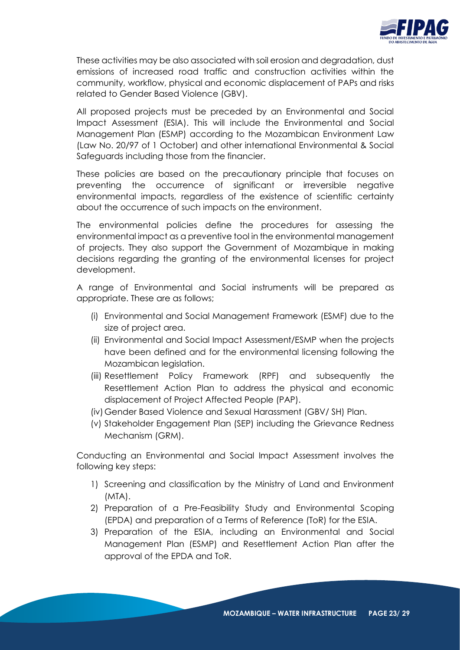

These activities may be also associated with soil erosion and degradation, dust emissions of increased road traffic and construction activities within the community, workflow, physical and economic displacement of PAPs and risks related to Gender Based Violence (GBV).

All proposed projects must be preceded by an Environmental and Social Impact Assessment (ESIA). This will include the Environmental and Social Management Plan (ESMP) according to the Mozambican Environment Law (Law No. 20/97 of 1 October) and other international Environmental & Social Safeguards including those from the financier.

These policies are based on the precautionary principle that focuses on preventing the occurrence of significant or irreversible negative environmental impacts, regardless of the existence of scientific certainty about the occurrence of such impacts on the environment.

The environmental policies define the procedures for assessing the environmental impact as a preventive tool in the environmental management of projects. They also support the Government of Mozambique in making decisions regarding the granting of the environmental licenses for project development.

A range of Environmental and Social instruments will be prepared as appropriate. These are as follows;

- (i) Environmental and Social Management Framework (ESMF) due to the size of project area.
- (ii) Environmental and Social Impact Assessment/ESMP when the projects have been defined and for the environmental licensing following the Mozambican legislation.
- (iii) Resettlement Policy Framework (RPF) and subsequently the Resettlement Action Plan to address the physical and economic displacement of Project Affected People (PAP).
- (iv)Gender Based Violence and Sexual Harassment (GBV/ SH) Plan.
- (v) Stakeholder Engagement Plan (SEP) including the Grievance Redness Mechanism (GRM).

Conducting an Environmental and Social Impact Assessment involves the following key steps:

- 1) Screening and classification by the Ministry of Land and Environment (MTA).
- 2) Preparation of a Pre-Feasibility Study and Environmental Scoping (EPDA) and preparation of a Terms of Reference (ToR) for the ESIA.
- 3) Preparation of the ESIA, including an Environmental and Social Management Plan (ESMP) and Resettlement Action Plan after the approval of the EPDA and ToR.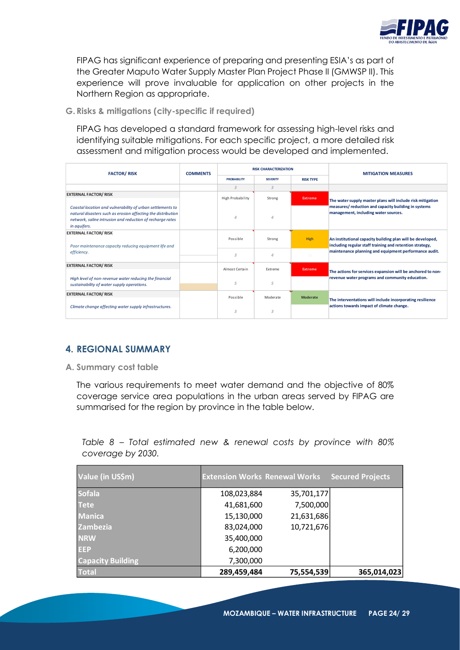

FIPAG has significant experience of preparing and presenting ESIA's as part of the Greater Maputo Water Supply Master Plan Project Phase II (GMWSP II). This experience will prove invaluable for application on other projects in the Northern Region as appropriate.

<span id="page-23-0"></span>**G. Risks & mitigations (city-specific if required)**

FIPAG has developed a standard framework for assessing high-level risks and identifying suitable mitigations. For each specific project, a more detailed risk assessment and mitigation process would be developed and implemented.

| <b>FACTOR/RISK</b>                                                                                                                                                                                      | <b>COMMENTS</b> |                    | <b>RISK CHARACTERIZATION</b>        |                 | <b>MITIGATION MEASURES</b>                                                                                             |  |
|---------------------------------------------------------------------------------------------------------------------------------------------------------------------------------------------------------|-----------------|--------------------|-------------------------------------|-----------------|------------------------------------------------------------------------------------------------------------------------|--|
|                                                                                                                                                                                                         |                 | <b>PROBABILITY</b> | <b>RISK TYPE</b><br><b>SEVERITY</b> |                 |                                                                                                                        |  |
|                                                                                                                                                                                                         |                 | 3                  | 3                                   |                 |                                                                                                                        |  |
| <b>EXTERNAL FACTOR/ RISK</b>                                                                                                                                                                            |                 | High Probability   | Strong                              | <b>Extreme</b>  |                                                                                                                        |  |
|                                                                                                                                                                                                         |                 |                    |                                     |                 | The water supply master plans will include risk mitigation                                                             |  |
| Coastal location and vulnerability of urban settlements to<br>natural disasters such as erosion affecting the distribution<br>network, saline intrusion and reduction of recharge rates<br>in aquifers. |                 | $\Delta$           | Δ                                   |                 | measures/reduction and capacity building in systems<br>management, including water sources.                            |  |
| <b>EXTERNAL FACTOR/RISK</b>                                                                                                                                                                             |                 |                    |                                     |                 |                                                                                                                        |  |
| Poor maintenance capacity reducing equipment life and                                                                                                                                                   |                 | Possible           | Strong                              | <b>High</b>     | An institutional capacity building plan will be developed,<br>including regular staff training and retention strategy, |  |
| efficiency.                                                                                                                                                                                             |                 | 3                  | Δ                                   | 12 <sub>1</sub> | maintenance planning and equipment performance audit.                                                                  |  |
| <b>EXTERNAL FACTOR/RISK</b>                                                                                                                                                                             |                 |                    |                                     |                 |                                                                                                                        |  |
|                                                                                                                                                                                                         |                 | Almost Certain     | Extreme                             | <b>Extreme</b>  | The actions for services expansion will be anchored to non-                                                            |  |
| High level of non-revenue water reducing the financial                                                                                                                                                  |                 | 5                  | 5                                   |                 | revenue water programs and community education.                                                                        |  |
| sustainability of water supply operations.                                                                                                                                                              |                 |                    |                                     |                 |                                                                                                                        |  |
| <b>EXTERNAL FACTOR/ RISK</b>                                                                                                                                                                            |                 | Possible           | Moderate                            | Moderate        |                                                                                                                        |  |
|                                                                                                                                                                                                         |                 |                    |                                     |                 | The interventations will include incorporating resilience                                                              |  |
| Climate change affecting water supply infrastructures.                                                                                                                                                  |                 | 3                  | 3                                   |                 | actions towards impact of climate change.                                                                              |  |

# **4. REGIONAL SUMMARY**

**A. Summary cost table**

The various requirements to meet water demand and the objective of 80% coverage service area populations in the urban areas served by FIPAG are summarised for the region by province in the table below.

<span id="page-23-1"></span>*Table 8 – Total estimated new & renewal costs by province with 80% coverage by 2030.*

| Value (in US\$m)         | <b>Extension Works Renewal Works</b> |            | <b>Secured Projects</b> |
|--------------------------|--------------------------------------|------------|-------------------------|
| <b>Sofala</b>            | 108,023,884                          | 35,701,177 |                         |
| <b>Tete</b>              | 41,681,600                           | 7,500,000  |                         |
| <b>Manica</b>            | 15,130,000                           | 21,631,686 |                         |
| <b>Zambezia</b>          | 83,024,000                           | 10,721,676 |                         |
| <b>NRW</b>               | 35,400,000                           |            |                         |
| <b>EEP</b>               | 6,200,000                            |            |                         |
| <b>Capacity Building</b> | 7,300,000                            |            |                         |
| <b>Total</b>             | 289,459,484                          | 75,554,539 | 365,014,023             |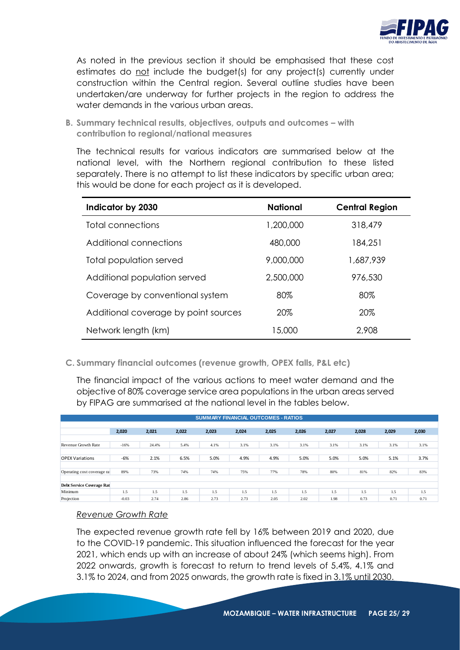

As noted in the previous section it should be emphasised that these cost estimates do not include the budget(s) for any project(s) currently under construction within the Central region. Several outline studies have been undertaken/are underway for further projects in the region to address the water demands in the various urban areas.

**B. Summary technical results, objectives, outputs and outcomes – with contribution to regional/national measures**

The technical results for various indicators are summarised below at the national level, with the Northern regional contribution to these listed separately. There is no attempt to list these indicators by specific urban area; this would be done for each project as it is developed.

| Indicator by 2030                    | <b>National</b> | <b>Central Region</b> |
|--------------------------------------|-----------------|-----------------------|
| Total connections                    | 1,200,000       | 318,479               |
| Additional connections               | 480,000         | 184,251               |
| Total population served              | 9,000,000       | 1,687,939             |
| Additional population served         | 2,500,000       | 976,530               |
| Coverage by conventional system      | 80%             | 80%                   |
| Additional coverage by point sources | 20%             | 20%                   |
| Network length (km)                  | 15,000          | 2,908                 |

**C. Summary financial outcomes (revenue growth, OPEX falls, P&L etc)**

The financial impact of the various actions to meet water demand and the objective of 80% coverage service area populations in the urban areas served by FIPAG are summarised at the national level in the tables below.

| <b>SUMMARY FINANCIAL OUTCOMES - RATIOS</b> |         |       |       |       |       |       |       |       |       |       |       |
|--------------------------------------------|---------|-------|-------|-------|-------|-------|-------|-------|-------|-------|-------|
|                                            |         |       |       |       |       |       |       |       |       |       |       |
|                                            | 2,020   | 2,021 | 2,022 | 2,023 | 2,024 | 2,025 | 2,026 | 2,027 | 2,028 | 2,029 | 2,030 |
|                                            |         |       |       |       |       |       |       |       |       |       |       |
| Revenue Growth Rate                        | $-16%$  | 24.4% | 5.4%  | 4.1%  | 3.1%  | 3.1%  | 3.1%  | 3.1%  | 3.1%  | 3.1%  | 3.1%  |
|                                            |         |       |       |       |       |       |       |       |       |       |       |
| <b>OPEX Variations</b>                     | -6%     | 2.1%  | 6.5%  | 5.0%  | 4.9%  | 4.9%  | 5.0%  | 5.0%  | 5.0%  | 5.1%  | 3.7%  |
|                                            |         |       |       |       |       |       |       |       |       |       |       |
| Operating cost coverage ra                 | 89%     | 73%   | 74%   | 74%   | 75%   | 77%   | 78%   | 80%   | 81%   | 82%   | 83%   |
|                                            |         |       |       |       |       |       |       |       |       |       |       |
| <b>Debt Service Coverage Rat</b>           |         |       |       |       |       |       |       |       |       |       |       |
| Minimum                                    | 1.5     | 1.5   | 1.5   | 1.5   | 1.5   | 1.5   | 1.5   | 1.5   | 1.5   | 1.5   | 1.5   |
| Projection                                 | $-0.03$ | 2.74  | 2.86  | 2.73  | 2.73  | 2.05  | 2.02  | 1.98  | 0.73  | 0.71  | 0.71  |

#### *Revenue Growth Rate*

The expected revenue growth rate fell by 16% between 2019 and 2020, due to the COVID-19 pandemic. This situation influenced the forecast for the year 2021, which ends up with an increase of about 24% (which seems high). From 2022 onwards, growth is forecast to return to trend levels of 5.4%, 4.1% and 3.1% to 2024, and from 2025 onwards, the growth rate is fixed in 3.1% until 2030.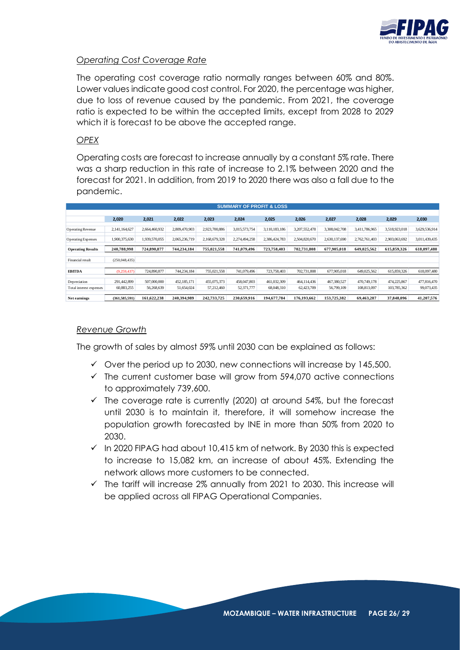

#### *Operating Cost Coverage Rate*

The operating cost coverage ratio normally ranges between 60% and 80%. Lower values indicate good cost control. For 2020, the percentage was higher, due to loss of revenue caused by the pandemic. From 2021, the coverage ratio is expected to be within the accepted limits, except from 2028 to 2029 which it is forecast to be above the accepted range.

#### *OPEX*

Operating costs are forecast to increase annually by a constant 5% rate. There was a sharp reduction in this rate of increase to 2.1% between 2020 and the forecast for 2021. In addition, from 2019 to 2020 there was also a fall due to the pandemic.

|                                         |                           |                           |                           |                           |                           | <b>SUMMARY OF PROFIT &amp; LOSS</b> |                           |                           |                            |                            |                           |
|-----------------------------------------|---------------------------|---------------------------|---------------------------|---------------------------|---------------------------|-------------------------------------|---------------------------|---------------------------|----------------------------|----------------------------|---------------------------|
|                                         |                           |                           |                           |                           |                           |                                     |                           |                           |                            |                            |                           |
|                                         | 2,020                     | 2,021                     | 2,022                     | 2,023                     | 2,024                     | 2,025                               | 2,026                     | 2,027                     | 2,028                      | 2,029                      | 2,030                     |
| <b>Operating Revenue</b>                | 2,141,164,627             | 2,664,460,932             | 2,809,470,903             | 2,923,700,886             | 3,015,573,754             | 3.110.183.186                       | 3,207,552,478             | 3,308,042,708             | 3,411,786,965              | 3,518,923,018              | 3,629,536,914             |
| <b>Operating Expenses</b>               | 1,900,375,630             | 1,939,570,055             | 2,065,236,719             | 2,168,679,328             | 2,274,494,258             | 2,386,424,783                       | 2,504,820,670             | 2,630,137,690             | 2,762,761,403              | 2,903,063,692              | 3.011.439.435             |
| <b>Operating Results</b>                | 240,788,998               | 724,890,877               | 744.234.184               | 755,021,558               | 741.079.496               | 723.758.403                         | 702.731.808               | 677.905.018               | 649,025,562                | 615,859,326                | 618.097.480               |
| Financial result                        | (250,048,435)             |                           |                           |                           |                           |                                     |                           |                           |                            |                            |                           |
| <b>EBITDA</b>                           | (9,259,437)               | 724,890,877               | 744,234,184               | 755,021,558               | 741,079,496               | 723,758,403                         | 702,731,808               | 677,905,018               | 649,025,562                | 615,859,326                | 618,097,480               |
| Depreciation<br>Total interest expenses | 291,442,899<br>60,883,255 | 507,000,000<br>56,268,639 | 452,185,171<br>51,654,024 | 455,075,373<br>57,212,460 | 458,047,803<br>52,371,777 | 461,032,309<br>68,048,310           | 464,114,436<br>62,423,709 | 467,380,527<br>56,799,109 | 470,749,178<br>108,813,097 | 474,225,867<br>103,785,362 | 477,816,470<br>99,073,435 |
| Net earnings                            | (361.585.591)             | 161.622.238               | 240.394.989               | 242.733.725               | 230.659.916               | 194,677,784                         | 176.193.662               | 153,725,382               | 69.463.287                 | 37,848,096                 | 41.207.576                |

#### *Revenue Growth*

The growth of sales by almost 59% until 2030 can be explained as follows:

- $\checkmark$  Over the period up to 2030, new connections will increase by 145,500.
- $\checkmark$  The current customer base will grow from 594,070 active connections to approximately 739,600.
- $\checkmark$  The coverage rate is currently (2020) at around 54%, but the forecast until 2030 is to maintain it, therefore, it will somehow increase the population growth forecasted by INE in more than 50% from 2020 to 2030.
- $\checkmark$  In 2020 FIPAG had about 10,415 km of network. By 2030 this is expected to increase to 15,082 km, an increase of about 45%. Extending the network allows more customers to be connected.
- ✓ The tariff will increase 2% annually from 2021 to 2030. This increase will be applied across all FIPAG Operational Companies.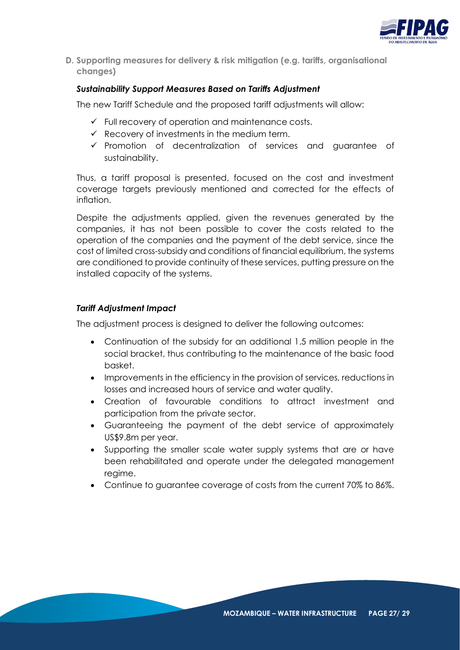

**D. Supporting measures for delivery & risk mitigation (e.g. tariffs, organisational changes)**

## *Sustainability Support Measures Based on Tariffs Adjustment*

The new Tariff Schedule and the proposed tariff adjustments will allow:

- $\checkmark$  Full recovery of operation and maintenance costs.
- $\checkmark$  Recovery of investments in the medium term.
- ✓ Promotion of decentralization of services and guarantee of sustainability.

Thus, a tariff proposal is presented, focused on the cost and investment coverage targets previously mentioned and corrected for the effects of inflation.

Despite the adjustments applied, given the revenues generated by the companies, it has not been possible to cover the costs related to the operation of the companies and the payment of the debt service, since the cost of limited cross-subsidy and conditions of financial equilibrium, the systems are conditioned to provide continuity of these services, putting pressure on the installed capacity of the systems.

#### *Tariff Adjustment Impact*

The adjustment process is designed to deliver the following outcomes:

- Continuation of the subsidy for an additional 1.5 million people in the social bracket, thus contributing to the maintenance of the basic food basket.
- Improvements in the efficiency in the provision of services, reductions in losses and increased hours of service and water quality.
- Creation of favourable conditions to attract investment and participation from the private sector.
- Guaranteeing the payment of the debt service of approximately US\$9.8m per year.
- Supporting the smaller scale water supply systems that are or have been rehabilitated and operate under the delegated management regime.
- Continue to guarantee coverage of costs from the current 70% to 86%.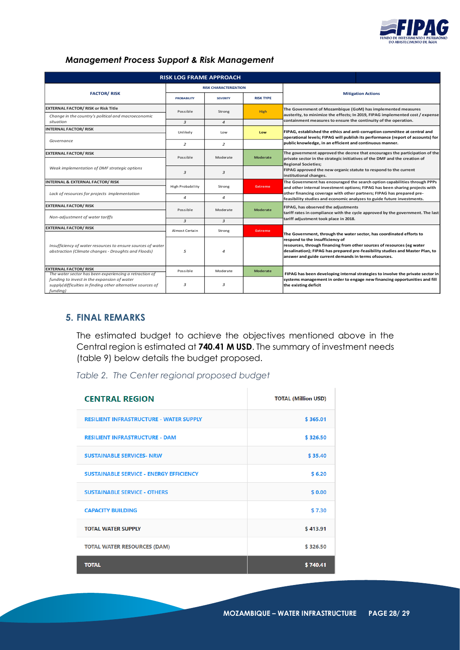

# *Management Process Support & Risk Management*

|                                                                                                                        | <b>RISK LOG FRAME APPROACH</b> |                              |                  |                                                                                                                                                                                                                                                    |
|------------------------------------------------------------------------------------------------------------------------|--------------------------------|------------------------------|------------------|----------------------------------------------------------------------------------------------------------------------------------------------------------------------------------------------------------------------------------------------------|
|                                                                                                                        |                                | <b>RISK CHARACTERIZATION</b> |                  |                                                                                                                                                                                                                                                    |
| <b>FACTOR/RISK</b>                                                                                                     | <b>PROBABILITY</b>             | <b>SEVERITY</b>              | <b>RISK TYPE</b> | <b>Mitigation Actions</b>                                                                                                                                                                                                                          |
| <b>EXTERNAL FACTOR/ RISK or Risk Title</b>                                                                             | Possible                       | Strong                       | <b>High</b>      | The Government of Mozambique (GoM) has implemented measures                                                                                                                                                                                        |
| Change in the country's political and macroeconomic<br>situation                                                       |                                |                              |                  | austerity, to minimize the effects; In 2019, FIPAG implemented cost / expense<br>containment measures to ensure the continuity of the operation.                                                                                                   |
| <b>INTERNAL FACTOR/RISK</b>                                                                                            | 3                              | $\overline{4}$               |                  |                                                                                                                                                                                                                                                    |
|                                                                                                                        | Unlikely                       | Low                          | Low              | FIPAG, established the ethics and anti-corruption committee at central and                                                                                                                                                                         |
| Governance                                                                                                             | $\overline{2}$                 | $\overline{2}$               |                  | operational levels; FIPAG will publish its performance (report of accounts) for<br>public knowledge, in an efficient and continuous manner.                                                                                                        |
| <b>EXTERNAL FACTOR/RISK</b>                                                                                            |                                |                              |                  | The government approved the decree that encourages the participation of the                                                                                                                                                                        |
|                                                                                                                        | Possible                       | Moderate                     | <b>Moderate</b>  | private sector in the strategic initiatives of the DMF and the creation of<br><b>Regional Societies;</b>                                                                                                                                           |
| Weak implementation of DMF strategic options                                                                           | 3<br>3                         |                              |                  | FIPAG approved the new organic statute to respond to the current                                                                                                                                                                                   |
|                                                                                                                        |                                |                              |                  | institutional changes.                                                                                                                                                                                                                             |
| <b>INTERNAL &amp; EXTERNAL FACTOR/RISK</b>                                                                             | <b>High Probability</b>        | Strong                       | <b>Extreme</b>   | The Government has encouraged the search option capabilities through PPPs<br>and other internal investment options; FIPAG has been sharing projects with                                                                                           |
| Lack of resources for projects implementation                                                                          |                                |                              |                  | other financing coverage with other partners; FIPAG has prepared pre-                                                                                                                                                                              |
|                                                                                                                        | 4                              | $\overline{4}$               |                  | feasibility studies and economic analyzes to guide future investments.                                                                                                                                                                             |
| <b>EXTERNAL FACTOR/ RISK</b>                                                                                           | Possible                       | Moderate                     | <b>Moderate</b>  | FIPAG, has observed the adjustments                                                                                                                                                                                                                |
| Non-adjustment of water tariffs                                                                                        |                                |                              |                  | tariff rates in compliance with the cycle approved by the government. The last                                                                                                                                                                     |
|                                                                                                                        | 3                              | 3                            |                  | tariff adjustment took place in 2018.                                                                                                                                                                                                              |
| <b>EXTERNAL FACTOR/ RISK</b>                                                                                           | Almost Certain                 | Strong                       | <b>Extreme</b>   | The Government, through the water sector, has coordinated efforts to                                                                                                                                                                               |
| Insufficiency of water resources to ensure sources of water<br>abstraction (Climate changes - Droughts and Floods)     | 5                              | $\Delta$                     |                  | respond to the insufficiency of<br>resources, through financing from other sources of resources (eg water<br>desalination); FIPAG has prepared pre-feasibility studies and Master Plan, to<br>answer and guide current demands in terms ofsources. |
| <b>EXTERNAL FACTOR/RISK</b><br>The water sector has been experiencing a retraction of                                  | Possible                       | Moderate                     | <b>Moderate</b>  | FIPAG has been developing internal strategies to involve the private sector in                                                                                                                                                                     |
| funding to invest in the expansion of water<br>supply(difficulties in finding other alternative sources of<br>funding) | з                              | 3                            |                  | systems management in order to engage new financing opportunities and fill<br>the existing deficit                                                                                                                                                 |

# **5. FINAL REMARKS**

The estimated budget to achieve the objectives mentioned above in the Central region is estimated at **740.41 M USD**. The summary of investment needs (table 9) below details the budget proposed.

*Table 2. The Center regional proposed budget* 

| <b>CENTRAL REGION</b>                          | <b>TOTAL (Million USD)</b> |
|------------------------------------------------|----------------------------|
| <b>RESILIENT INFRASTRUCTURE - WATER SUPPLY</b> | \$365.01                   |
| <b>RESILIENT INFRASTRUCTURE - DAM</b>          | \$326.50                   |
| <b>SUSTAINABLE SERVICES- NRW</b>               | \$35.40                    |
| <b>SUSTAINABLE SERVICE - ENERGY EFFICIENCY</b> | \$6.20                     |
| <b>SUSTAINABLE SERVICE - OTHERS</b>            | \$0.00                     |
| <b>CAPACITY BUILDING</b>                       | \$7.30                     |
| <b>TOTAL WATER SUPPLY</b>                      | \$413.91                   |
| <b>TOTAL WATER RESOURCES (DAM)</b>             | \$326.50                   |
| <b>TOTAL</b>                                   | \$740.41                   |